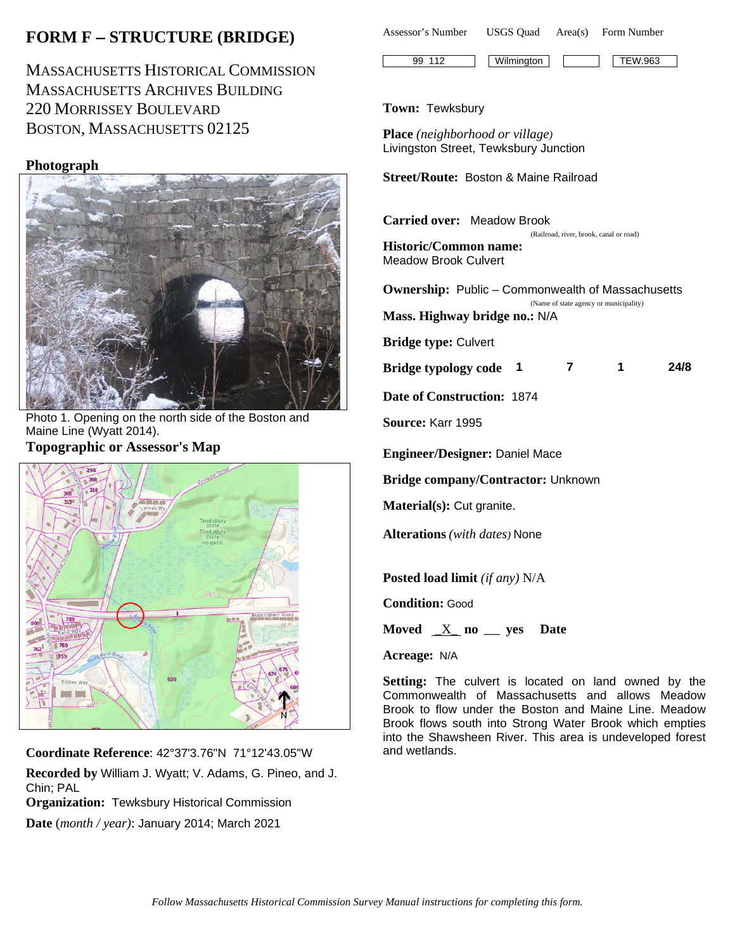# **FORM F** − **STRUCTURE (BRIDGE)**

MASSACHUSETTS HISTORICAL COMMISSION MASSACHUSETTS ARCHIVES BUILDING 220 MORRISSEY BOULEVARD BOSTON, MASSACHUSETTS 02125

# **Photograph**



Photo 1. Opening on the north side of the Boston and Maine Line (Wyatt 2014). **Topographic or Assessor's Map**



**Coordinate Reference**: 42°37'3.76"N 71°12'43.05"W **Recorded by** William J. Wyatt; V. Adams, G. Pineo, and J. Chin; PAL **Organization:** Tewksbury Historical Commission **Date** (*month / year)*: January 2014; March 2021



### **Town:** Tewksbury

**Place** *(neighborhood or village)* Livingston Street, Tewksbury Junction

**Street/Route:** Boston & Maine Railroad

**Carried over:** Meadow Brook

 (Railroad, river, brook, canal or road) **Historic/Common name:** Meadow Brook Culvert

**Ownership:** Public – Commonwealth of Massachusetts (Name of state agency or municipality) **Mass. Highway bridge no.:** N/A **Bridge type:** Culvert **Bridge typology code 1 7 1 24/8 Date of Construction:** 1874 **Source:** Karr 1995 **Engineer/Designer:** Daniel Mace **Bridge company/Contractor:** Unknown **Material(s):** Cut granite. **Alterations** *(with dates)* None **Posted load limit** *(if any)* N/A **Condition:** Good

**Moved** \_X\_ **no \_\_\_ yes Date**

**Acreage:** N/A

**Setting:** The culvert is located on land owned by the Commonwealth of Massachusetts and allows Meadow Brook to flow under the Boston and Maine Line. Meadow Brook flows south into Strong Water Brook which empties into the Shawsheen River. This area is undeveloped forest and wetlands.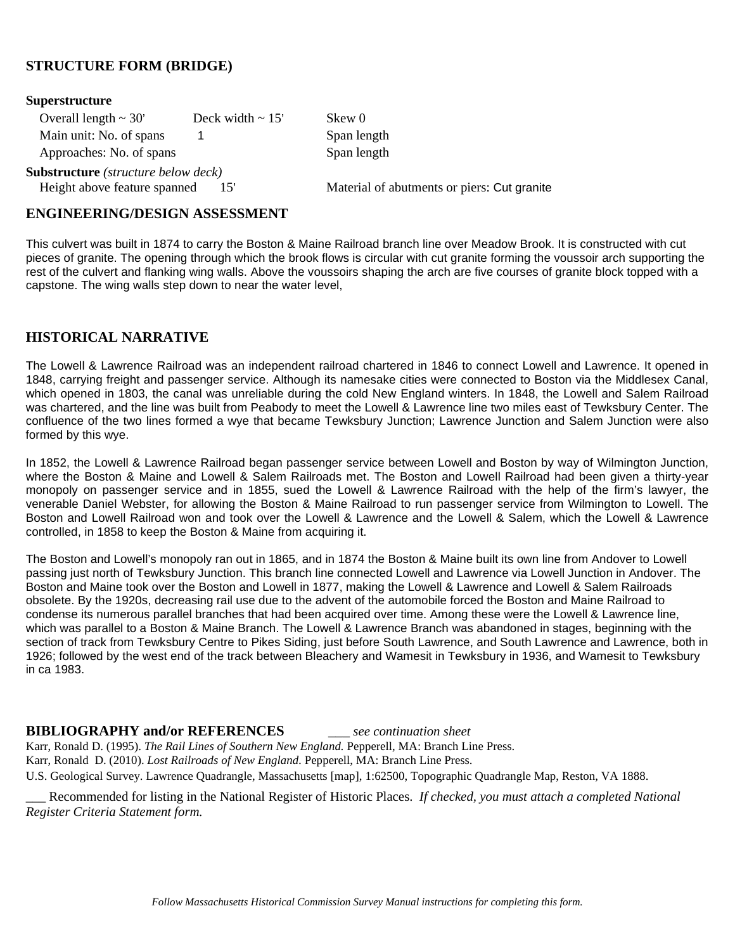### **STRUCTURE FORM (BRIDGE)**

| <b>Superstructure</b>                               |                       |                                             |
|-----------------------------------------------------|-----------------------|---------------------------------------------|
| Overall length $\sim$ 30'                           | Deck width $\sim 15'$ | Skew 0                                      |
| Main unit: No. of spans                             |                       | Span length                                 |
| Approaches: No. of spans                            |                       | Span length                                 |
| <b>Substructure</b> ( <i>structure below deck</i> ) |                       |                                             |
| Height above feature spanned                        | 15'                   | Material of abutments or piers: Cut granite |

#### **ENGINEERING/DESIGN ASSESSMENT**

This culvert was built in 1874 to carry the Boston & Maine Railroad branch line over Meadow Brook. It is constructed with cut pieces of granite. The opening through which the brook flows is circular with cut granite forming the voussoir arch supporting the rest of the culvert and flanking wing walls. Above the voussoirs shaping the arch are five courses of granite block topped with a capstone. The wing walls step down to near the water level,

#### **HISTORICAL NARRATIVE**

The Lowell & Lawrence Railroad was an independent railroad chartered in 1846 to connect Lowell and Lawrence. It opened in 1848, carrying freight and passenger service. Although its namesake cities were connected to Boston via the Middlesex Canal, which opened in 1803, the canal was unreliable during the cold New England winters. In 1848, the Lowell and Salem Railroad was chartered, and the line was built from Peabody to meet the Lowell & Lawrence line two miles east of Tewksbury Center. The confluence of the two lines formed a wye that became Tewksbury Junction; Lawrence Junction and Salem Junction were also formed by this wye.

In 1852, the Lowell & Lawrence Railroad began passenger service between Lowell and Boston by way of Wilmington Junction, where the Boston & Maine and Lowell & Salem Railroads met. The Boston and Lowell Railroad had been given a thirty-year monopoly on passenger service and in 1855, sued the Lowell & Lawrence Railroad with the help of the firm's lawyer, the venerable Daniel Webster, for allowing the Boston & Maine Railroad to run passenger service from Wilmington to Lowell. The Boston and Lowell Railroad won and took over the Lowell & Lawrence and the Lowell & Salem, which the Lowell & Lawrence controlled, in 1858 to keep the Boston & Maine from acquiring it.

The Boston and Lowell's monopoly ran out in 1865, and in 1874 the Boston & Maine built its own line from Andover to Lowell passing just north of Tewksbury Junction. This branch line connected Lowell and Lawrence via Lowell Junction in Andover. The Boston and Maine took over the Boston and Lowell in 1877, making the Lowell & Lawrence and Lowell & Salem Railroads obsolete. By the 1920s, decreasing rail use due to the advent of the automobile forced the Boston and Maine Railroad to condense its numerous parallel branches that had been acquired over time. Among these were the Lowell & Lawrence line, which was parallel to a Boston & Maine Branch. The Lowell & Lawrence Branch was abandoned in stages, beginning with the section of track from Tewksbury Centre to Pikes Siding, just before South Lawrence, and South Lawrence and Lawrence, both in 1926; followed by the west end of the track between Bleachery and Wamesit in Tewksbury in 1936, and Wamesit to Tewksbury in ca 1983.

#### **BIBLIOGRAPHY and/or REFERENCES** \_\_\_ *see continuation sheet*

Karr, Ronald D. (1995). *The Rail Lines of Southern New England.* Pepperell, MA: Branch Line Press.

Karr, Ronald D. (2010). *Lost Railroads of New England.* Pepperell, MA: Branch Line Press.

U.S. Geological Survey. Lawrence Quadrangle, Massachusetts [map], 1:62500, Topographic Quadrangle Map, Reston, VA 1888.

\_\_\_ Recommended for listing in the National Register of Historic Places. *If checked, you must attach a completed National Register Criteria Statement form.*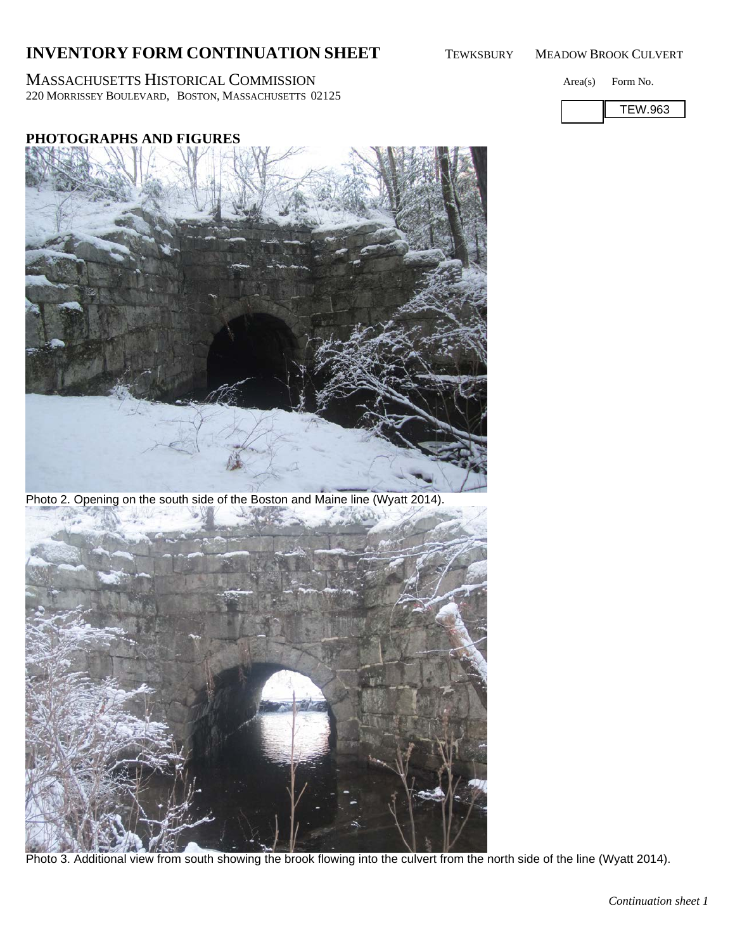# **INVENTORY FORM CONTINUATION SHEET** TEWKSBURY MEADOW BROOK CULVERT

MASSACHUSETTS HISTORICAL COMMISSION Area(s) Form No. 220 MORRISSEY BOULEVARD, BOSTON, MASSACHUSETTS 02125



## **PHOTOGRAPHS AND FIGURES**

Photo 2. Opening on the south side of the Boston and Maine line (Wyatt 2014).

Photo 3. Additional view from south showing the brook flowing into the culvert from the north side of the line (Wyatt 2014).